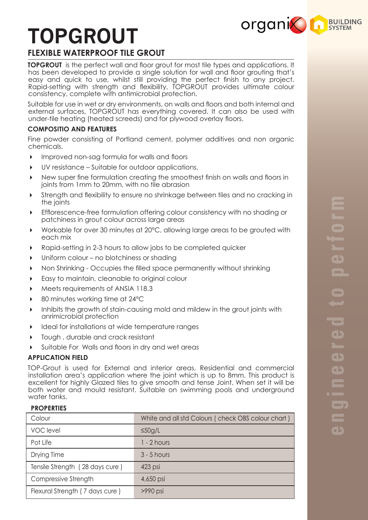# **TOPGROUT**



# **FLEXIBLE WATERPROOF TILE GROUT**

**TOPGROUT** is the perfect wall and floor grout for most tile types and applications. It has been developed to provide a single solution for wall and floor grouting that's easy and quick to use, whilst still providing the perfect finish to any project. Rapid-setting with strength and flexibility, TOPGROUT provides ultimate colour consistency, complete with antimicrobial protection.

Suitable for use in wet or dry environments, on walls and floors and both internal and external surfaces, TOPGROUT has everything covered. It can also be used with under-tile heating (heated screeds) and for plywood overlay floors.

# **COMPOSITIO AND FEATURES**

Fine powder consisting of Portland cement, polymer additives and non organic chemicals.

- Improved non-sag formula for walls and floors
- UV resistance Suitable for outdoor applications.
- New super fine formulation creating the smoothest finish on walls and floors in joints from 1mm to 20mm, with no tile abrasion
- Strength and flexibility to ensure no shrinkage between tiles and no cracking in the joints
- Efflorescence-free formulation offering colour consistency with no shading or patchiness in grout colour across large areas
- Workable for over 30 minutes at 20°C, allowing large areas to be grouted with each mix
- Rapid-setting in 2-3 hours to allow jobs to be completed quicker
- Uniform colour no blotchiness or shading
- Non Shrinking Occupies the filled space permanently without shrinking
- Easy to maintain, cleanable to original colour
- Meets requirements of ANSIA 118.3
- 80 minutes working time at 24°C
- Inhibits the growth of stain-causing mold and mildew in the grout joints with anrimicrobial protection
- Ideal for installations at wide temperature ranges
- Tough , durable and crack resistant
- Suitable For Walls and floors in dry and wet areas

## **APPLICATION FIELD**

TOP-Grout is used for External and interior areas, Residential and commercial installation area's application where the joint which is up to 8mm. This product is excellent for highly Glazed tiles to give smooth and tense Joint. When set it will be both water and mould resistant. Suitable on swimming pools and underground water tanks.

## **PROPERTIES**

| Colour                          | White and all std Colours (check OBS colour chart) |
|---------------------------------|----------------------------------------------------|
| <b>VOC</b> level                | $\leq 50$ g/L                                      |
| Pot Life                        | $1 - 2$ hours                                      |
| Drying Time                     | $3 - 5$ hours                                      |
| Tensile Strength (28 days cure) | 423 psi                                            |
| Compressive Strength            | 4,650 psi                                          |
| Flexural Strength (7 days cure) | $>990$ psi                                         |